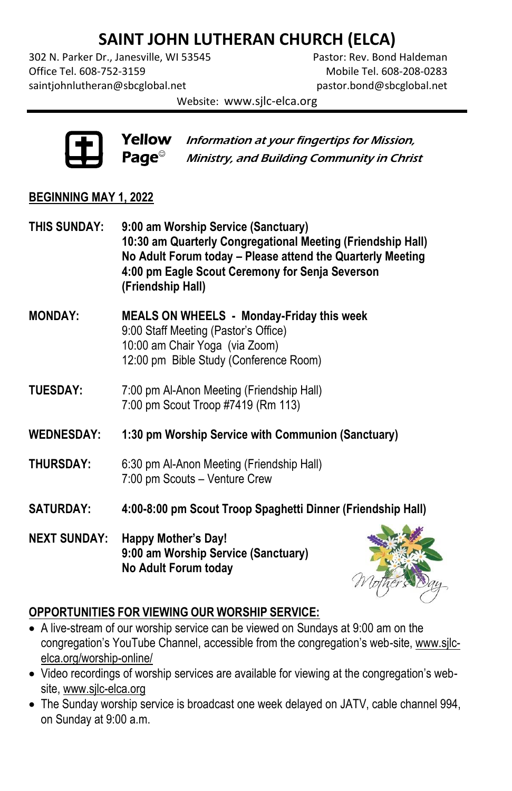# **SAINT JOHN LUTHERAN CHURCH (ELCA)**

302 N. Parker Dr., Janesville, WI 53545 Pastor: Rev. Bond Haldeman Office Tel. 608-752-3159 Mobile Tel. 608-208-0283 [saintjohnlutheran@sbcglobal.net](mailto:saintjohnlutheran@sbcglobal.net) [pastor.bond@sbcglobal.net](mailto:pastor.bond@sbcglobal.net)

Website: www.sjlc-elca.org



**Yellow** Information at your fingertips for Mission,  $\mathsf{Page}^\circ$  Ministry, and Building Community in Christ

#### **BEGINNING MAY 1, 2022**

- **THIS SUNDAY: 9:00 am Worship Service (Sanctuary) 10:30 am Quarterly Congregational Meeting (Friendship Hall) No Adult Forum today – Please attend the Quarterly Meeting 4:00 pm Eagle Scout Ceremony for Senja Severson (Friendship Hall)**
- **MONDAY: MEALS ON WHEELS - Monday-Friday this week** 9:00 Staff Meeting (Pastor's Office) 10:00 am Chair Yoga (via Zoom) 12:00 pm Bible Study (Conference Room)
- **TUESDAY:** 7:00 pm Al-Anon Meeting (Friendship Hall) 7:00 pm Scout Troop #7419 (Rm 113)
- **WEDNESDAY: 1:30 pm Worship Service with Communion (Sanctuary)**
- **THURSDAY:** 6:30 pm Al-Anon Meeting (Friendship Hall) 7:00 pm Scouts – Venture Crew
- **SATURDAY: 4:00-8:00 pm Scout Troop Spaghetti Dinner (Friendship Hall)**
- **NEXT SUNDAY: Happy Mother's Day! 9:00 am Worship Service (Sanctuary) No Adult Forum today**



#### **OPPORTUNITIES FOR VIEWING OUR WORSHIP SERVICE:**

- A live-stream of our worship service can be viewed on Sundays at 9:00 am on the congregation's YouTube Channel, accessible from the congregation's web-site[, www.sjlc](http://www.sjlc-elca.org/worship-online/)[elca.org/worship-online/](http://www.sjlc-elca.org/worship-online/)
- Video recordings of worship services are available for viewing at the congregation's website, [www.sjlc-elca.org](http://www.sjlc-elca.org/)
- The Sunday worship service is broadcast one week delayed on JATV, cable channel 994, on Sunday at 9:00 a.m.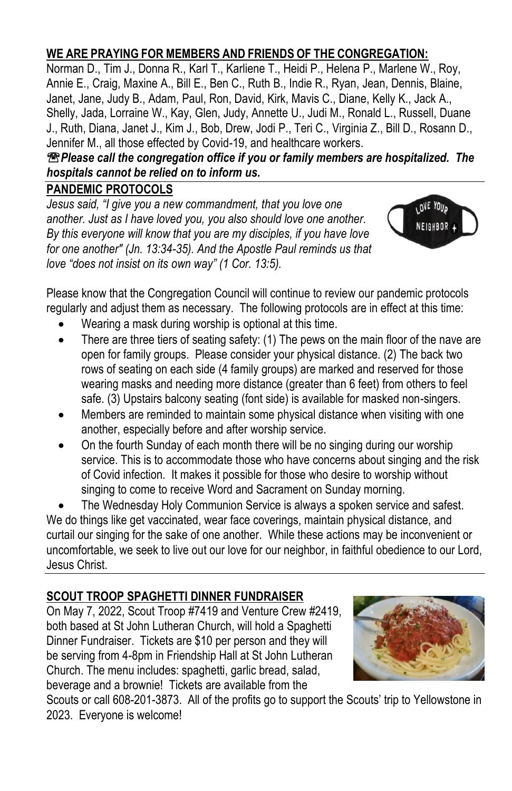## **WE ARE PRAYING FOR MEMBERS AND FRIENDS OF THE CONGREGATION:**

Norman D., Tim J., Donna R., Karl T., Karliene T., Heidi P., Helena P., Marlene W., Roy, Annie E., Craig, Maxine A., Bill E., Ben C., Ruth B., Indie R., Ryan, Jean, Dennis, Blaine, Janet, Jane, Judy B., Adam, Paul, Ron, David, Kirk, Mavis C., Diane, Kelly K., Jack A., Shelly, Jada, Lorraine W., Kay, Glen, Judy, Annette U., Judi M., Ronald L., Russell, Duane J., Ruth, Diana, Janet J., Kim J., Bob, Drew, Jodi P., Teri C., Virginia Z., Bill D., Rosann D., Jennifer M., all those effected by Covid-19, and healthcare workers.

*Please call the congregation office if you or family members are hospitalized. The hospitals cannot be relied on to inform us.* 

#### **PANDEMIC PROTOCOLS**

*Jesus said, "I give you a new commandment, that you love one another. Just as I have loved you, you also should love one another. By this everyone will know that you are my disciples, if you have love for one another" (Jn. 13:34-35). And the Apostle Paul reminds us that love "does not insist on its own way" (1 Cor. 13:5).*



Please know that the Congregation Council will continue to review our pandemic protocols regularly and adjust them as necessary. The following protocols are in effect at this time:

- Wearing a mask during worship is optional at this time.
- There are three tiers of seating safety: (1) The pews on the main floor of the nave are open for family groups. Please consider your physical distance. (2) The back two rows of seating on each side (4 family groups) are marked and reserved for those wearing masks and needing more distance (greater than 6 feet) from others to feel safe. (3) Upstairs balcony seating (font side) is available for masked non-singers.
- Members are reminded to maintain some physical distance when visiting with one another, especially before and after worship service.
- On the fourth Sunday of each month there will be no singing during our worship service. This is to accommodate those who have concerns about singing and the risk of Covid infection. It makes it possible for those who desire to worship without singing to come to receive Word and Sacrament on Sunday morning.

 The Wednesday Holy Communion Service is always a spoken service and safest. We do things like get vaccinated, wear face coverings, maintain physical distance, and curtail our singing for the sake of one another. While these actions may be inconvenient or uncomfortable, we seek to live out our love for our neighbor, in faithful obedience to our Lord, Jesus Christ.

## **SCOUT TROOP SPAGHETTI DINNER FUNDRAISER**

On May 7, 2022, Scout Troop #7419 and Venture Crew #2419, both based at St John Lutheran Church, will hold a Spaghetti Dinner Fundraiser. Tickets are \$10 per person and they will be serving from 4-8pm in Friendship Hall at St John Lutheran Church. The menu includes: spaghetti, garlic bread, salad, beverage and a brownie! Tickets are available from the



Scouts or call 608-201-3873. All of the profits go to support the Scouts' trip to Yellowstone in 2023. Everyone is welcome!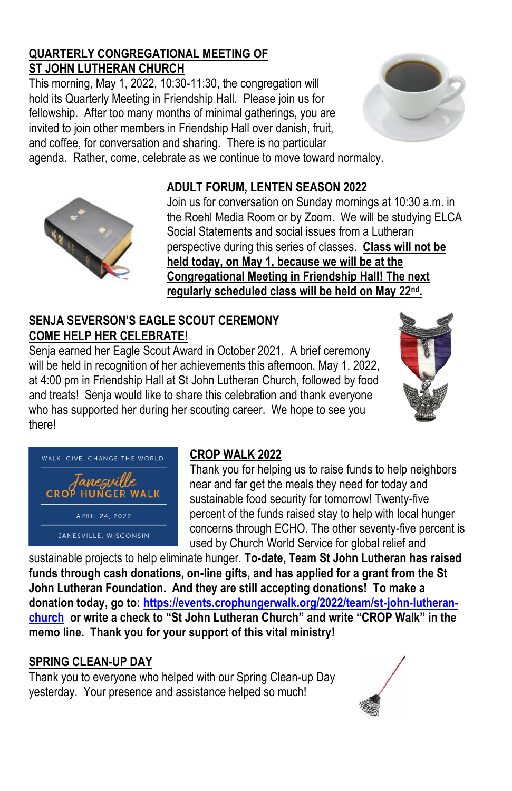#### **QUARTERLY CONGREGATIONAL MEETING OF ST JOHN LUTHERAN CHURCH**

This morning, May 1, 2022, 10:30-11:30, the congregation will hold its Quarterly Meeting in Friendship Hall. Please join us for fellowship. After too many months of minimal gatherings, you are invited to join other members in Friendship Hall over danish, fruit, and coffee, for conversation and sharing. There is no particular agenda. Rather, come, celebrate as we continue to move toward normalcy.





Join us for conversation on Sunday mornings at 10:30 a.m. in the Roehl Media Room or by Zoom. We will be studying ELCA Social Statements and social issues from a Lutheran perspective during this series of classes. **Class will not be held today, on May 1, because we will be at the Congregational Meeting in Friendship Hall! The next regularly scheduled class will be held on May 22nd .**

#### **SENJA SEVERSON'S EAGLE SCOUT CEREMONY COME HELP HER CELEBRATE!**

Senja earned her Eagle Scout Award in October 2021. A brief ceremony will be held in recognition of her achievements this afternoon, May 1, 2022, at 4:00 pm in Friendship Hall at St John Lutheran Church, followed by food and treats! Senja would like to share this celebration and thank everyone who has supported her during her scouting career. We hope to see you there!





## **CROP WALK 2022**

Thank you for helping us to raise funds to help neighbors near and far get the meals they need for today and sustainable food security for tomorrow! Twenty-five percent of the funds raised stay to help with local hunger concerns through ECHO. The other seventy-five percent is used by Church World Service for global relief and

sustainable projects to help eliminate hunger. **To-date, Team St John Lutheran has raised funds through cash donations, on-line gifts, and has applied for a grant from the St John Lutheran Foundation. And they are still accepting donations! To make a donation today, go to: [https://events.crophungerwalk.org/2022/team/st-john-lutheran](https://events.crophungerwalk.org/2022/team/st-john-lutheran-church)[church](https://events.crophungerwalk.org/2022/team/st-john-lutheran-church) or write a check to "St John Lutheran Church" and write "CROP Walk" in the memo line. Thank you for your support of this vital ministry!**

## **SPRING CLEAN-UP DAY**

Thank you to everyone who helped with our Spring Clean-up Day yesterday. Your presence and assistance helped so much!